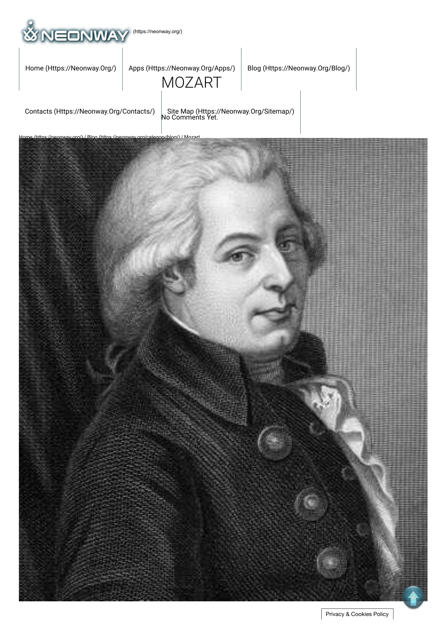

[Home \(Https://Neonway.Org/\)](https://neonway.org/) | Apps (Https://Neonway.Org/Apps/) | [Blog \(Https://Neonway.Org/Blog/\)](https://neonway.org/blog/)



[Contacts \(Https://Neonway.Org/Contacts/\)](https://neonway.org/contacts/) | [Site Map \(Https://Neonway.Org/Sitemap/\)](https://neonway.org/sitemap/)<br>No Comments Yet.

[Home \(https://neonway.org/\)](https://neonway.org/) / [Blog \(https://neonway.org/category/blog/\)](https://neonway.org/category/blog/) / Mozart